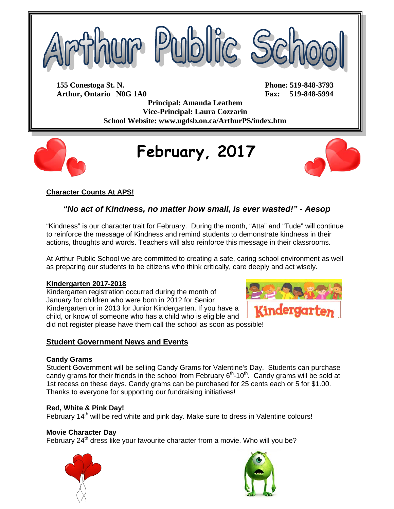

**155 Conestoga St. N. Phone: 519-848-3793 Arthur, Ontario N0G 1A0 Fax: 519-848-5994**

**Principal: Amanda Leathem Vice-Principal: Laura Cozzarin School Website: www.ugdsb.on.ca/ArthurPS/index.htm**



# **February, 2017**



# **Character Counts At APS!**

# *"No act of Kindness, no matter how small, is ever wasted!" - Aesop*

"Kindness" is our character trait for February. During the month, "Atta" and "Tude" will continue to reinforce the message of Kindness and remind students to demonstrate kindness in their actions, thoughts and words. Teachers will also reinforce this message in their classrooms.

At Arthur Public School we are committed to creating a safe, caring school environment as well as preparing our students to be citizens who think critically, care deeply and act wisely.

#### **Kindergarten 2017-2018**

Kindergarten registration occurred during the month of January for children who were born in 2012 for Senior Kindergarten or in 2013 for Junior Kindergarten. If you have a child, or know of someone who has a child who is eligible and did not register please have them call the school as soon as possible!

## **Student Government News and Events**

#### **Candy Grams**

Student Government will be selling Candy Grams for Valentine's Day. Students can purchase candy grams for their friends in the school from February  $6<sup>th</sup>$ -10<sup>th</sup>. Candy grams will be sold at 1st recess on these days. Candy grams can be purchased for 25 cents each or 5 for \$1.00. Thanks to everyone for supporting our fundraising initiatives!

## **Red, White & Pink Day!**

February 14<sup>th</sup> will be red white and pink day. Make sure to dress in Valentine colours!

## **Movie Character Day**

February 24<sup>th</sup> dress like your favourite character from a movie. Who will you be?





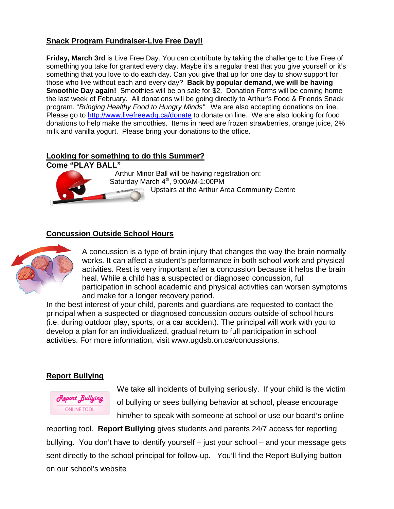## **Snack Program Fundraiser-Live Free Day!!**

**Friday, March 3rd** is Live Free Day. You can contribute by taking the challenge to Live Free of something you take for granted every day. Maybe it's a regular treat that you give yourself or it's something that you love to do each day. Can you give that up for one day to show support for those who live without each and every day? **Back by popular demand, we will be having Smoothie Day again!** Smoothies will be on sale for \$2. Donation Forms will be coming home the last week of February. All donations will be going directly to Arthur's Food & Friends Snack program. "*Bringing Healthy Food to Hungry Minds"* We are also accepting donations on line. Please go to<http://www.livefreewdg.ca/donate> to donate on line. We are also looking for food donations to help make the smoothies. Items in need are frozen strawberries, orange juice, 2% milk and vanilla yogurt. Please bring your donations to the office.

# **Looking for something to do this Summer?**



Arthur Minor Ball will be having registration on: Saturday March  $4<sup>th</sup>$ , 9:00AM-1:00PM Upstairs at the Arthur Area Community Centre

## **Concussion Outside School Hours**



A concussion is a type of brain injury that changes the way the brain normally works. It can affect a student's performance in both school work and physical activities. Rest is very important after a concussion because it helps the brain heal. While a child has a suspected or diagnosed concussion, full participation in school academic and physical activities can worsen symptoms and make for a longer recovery period.

In the best interest of your child, parents and guardians are requested to contact the principal when a suspected or diagnosed concussion occurs outside of school hours (i.e. during outdoor play, sports, or a car accident). The principal will work with you to develop a plan for an individualized, gradual return to full participation in school activities. For more information, visit www.ugdsb.on.ca/concussions.

## **Report Bullying**



We take all incidents of bullying seriously. If your child is the victim of bullying or sees bullying behavior at school, please encourage him/her to speak with someone at school or use our board's online

reporting tool. **Report Bullying** gives students and parents 24/7 access for reporting bullying. You don't have to identify yourself – just your school – and your message gets sent directly to the school principal for follow-up. You'll find the Report Bullying button on our school's website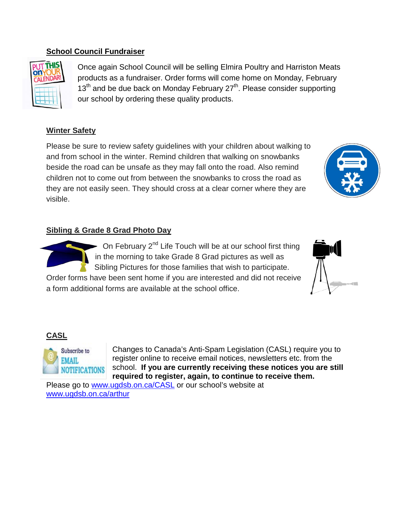## **School Council Fundraiser**



Once again School Council will be selling Elmira Poultry and Harriston Meats products as a fundraiser. Order forms will come home on Monday, February  $13<sup>th</sup>$  and be due back on Monday February  $27<sup>th</sup>$ . Please consider supporting our school by ordering these quality products.

# **Winter Safety**

Please be sure to review safety guidelines with your children about walking to and from school in the winter. Remind children that walking on snowbanks beside the road can be unsafe as they may fall onto the road. Also remind children not to come out from between the snowbanks to cross the road as they are not easily seen. They should cross at a clear corner where they are visible.

# **Sibling & Grade 8 Grad Photo Day**



On February 2<sup>nd</sup> Life Touch will be at our school first thing in the morning to take Grade 8 Grad pictures as well as Sibling Pictures for those families that wish to participate.

Order forms have been sent home if you are interested and did not receive a form additional forms are available at the school office.



# **CASL**



Changes to Canada's Anti-Spam Legislation (CASL) require you to register online to receive email notices, newsletters etc. from the school. **If you are currently receiving these notices you are still required to register, again, to continue to receive them.** 

Please go to [www.ugdsb.on.ca/CASL](http://www.ugdsb.on.ca/CASL) or our school's website at [www.ugdsb.on.ca/arthur](http://www.ugdsb.on.ca/arthur)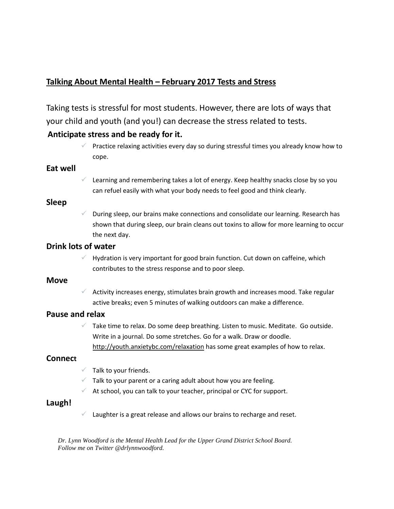# **Talking About Mental Health – February 2017 Tests and Stress**

Taking tests is stressful for most students. However, there are lots of ways that your child and youth (and you!) can decrease the stress related to tests.

## **Anticipate stress and be ready for it.**

 Practice relaxing activities every day so during stressful times you already know how to cope.

#### **Eat well**

 $\checkmark$  Learning and remembering takes a lot of energy. Keep healthy snacks close by so you can refuel easily with what your body needs to feel good and think clearly.

#### **Sleep**

 During sleep, our brains make connections and consolidate our learning. Research has shown that during sleep, our brain cleans out toxins to allow for more learning to occur the next day.

## **Drink lots of water**

 Hydration is very important for good brain function. Cut down on caffeine, which contributes to the stress response and to poor sleep.

#### **Move**

 $\checkmark$  Activity increases energy, stimulates brain growth and increases mood. Take regular active breaks; even 5 minutes of walking outdoors can make a difference.

## **Pause and relax**

 $\checkmark$  Take time to relax. Do some deep breathing. Listen to music. Meditate. Go outside. Write in a journal. Do some stretches. Go for a walk. Draw or doodle. <http://youth.anxietybc.com/relaxation> has some great examples of how to relax.

## **Connect**

- $\checkmark$  Talk to your friends.
- $\checkmark$  Talk to your parent or a caring adult about how you are feeling.
- $\checkmark$  At school, you can talk to your teacher, principal or CYC for support.

## **Laugh!**

 $\checkmark$  Laughter is a great release and allows our brains to recharge and reset.

*Dr. Lynn Woodford is the Mental Health Lead for the Upper Grand District School Board. Follow me on Twitter @drlynnwoodford.*